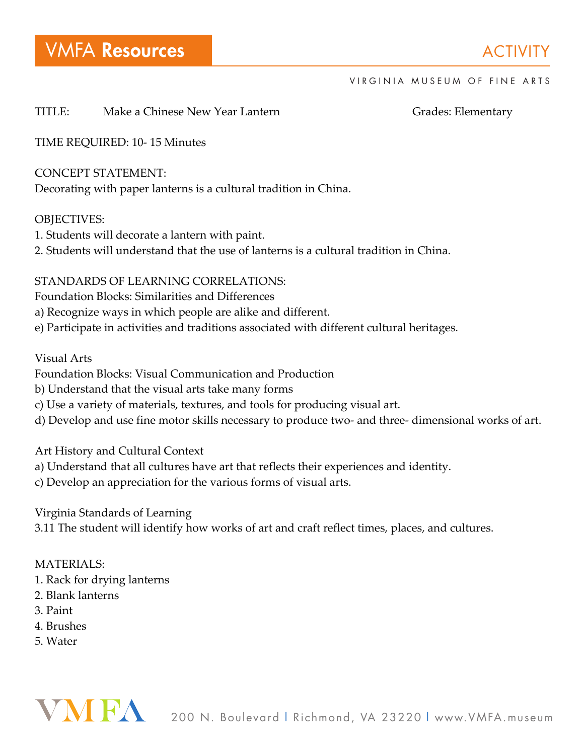#### VIRGINIA MUSEUM OF FINE ARTS

## TITLE: Make a Chinese New Year Lantern Grades: Elementary

TIME REQUIRED: 10- 15 Minutes

### CONCEPT STATEMENT:

Decorating with paper lanterns is a cultural tradition in China.

### OBJECTIVES:

- 1. Students will decorate a lantern with paint.
- 2. Students will understand that the use of lanterns is a cultural tradition in China.

# STANDARDS OF LEARNING CORRELATIONS:

Foundation Blocks: Similarities and Differences

- a) Recognize ways in which people are alike and different.
- e) Participate in activities and traditions associated with different cultural heritages.

# Visual Arts

- Foundation Blocks: Visual Communication and Production
- b) Understand that the visual arts take many forms
- c) Use a variety of materials, textures, and tools for producing visual art.
- d) Develop and use fine motor skills necessary to produce two- and three- dimensional works of art.

Art History and Cultural Context

- a) Understand that all cultures have art that reflects their experiences and identity.
- c) Develop an appreciation for the various forms of visual arts.

Virginia Standards of Learning

3.11 The student will identify how works of art and craft reflect times, places, and cultures.

# MATERIALS:

- 1. Rack for drying lanterns
- 2. Blank lanterns
- 3. Paint
- 4. Brushes
- 5. Water

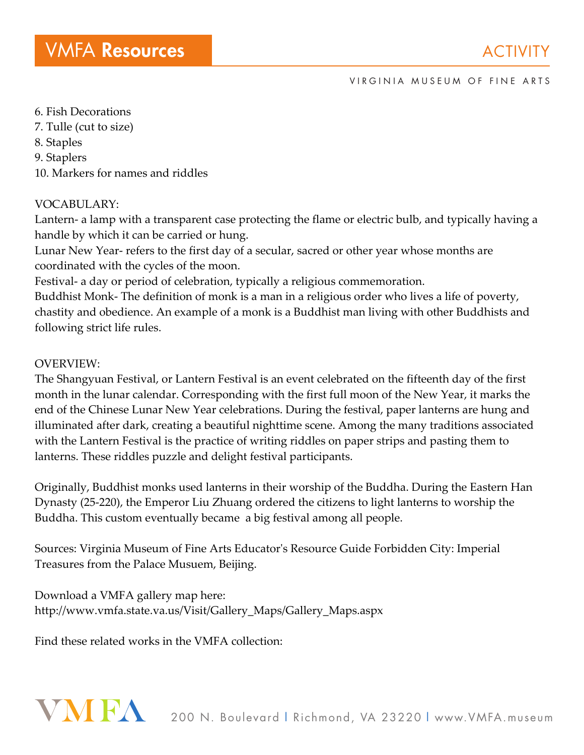#### VIRGINIA MUSEUM OF FINE ARTS

- 6. Fish Decorations
- 7. Tulle (cut to size)
- 8. Staples
- 9. Staplers
- 10. Markers for names and riddles

### VOCABULARY:

Lantern- a lamp with a transparent case protecting the flame or electric bulb, and typically having a handle by which it can be carried or hung.

Lunar New Year- refers to the first day of a secular, sacred or other year whose months are coordinated with the cycles of the moon.

Festival- a day or period of celebration, typically a religious commemoration.

Buddhist Monk- The definition of monk is a man in a religious order who lives a life of poverty, chastity and obedience. An example of a monk is a Buddhist man living with other Buddhists and following strict life rules.

#### OVERVIEW:

The Shangyuan Festival, or Lantern Festival is an event celebrated on the fifteenth day of the first month in the lunar calendar. Corresponding with the first full moon of the New Year, it marks the end of the Chinese Lunar New Year celebrations. During the festival, paper lanterns are hung and illuminated after dark, creating a beautiful nighttime scene. Among the many traditions associated with the Lantern Festival is the practice of writing riddles on paper strips and pasting them to lanterns. These riddles puzzle and delight festival participants.

Originally, Buddhist monks used lanterns in their worship of the Buddha. During the Eastern Han Dynasty (25-220), the Emperor Liu Zhuang ordered the citizens to light lanterns to worship the Buddha. This custom eventually became a big festival among all people.

Sources: Virginia Museum of Fine Arts Educator's Resource Guide Forbidden City: Imperial Treasures from the Palace Musuem, Beijing.

Download a VMFA gallery map here: http://www.vmfa.state.va.us/Visit/Gallery\_Maps/Gallery\_Maps.aspx

Find these related works in the VMFA collection: